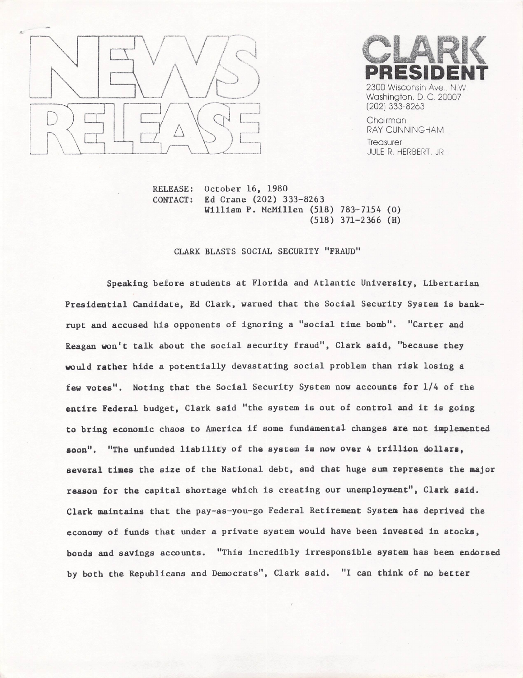



Chairman RAY CUNNINGHAM **Treasurer** JULE R, HERBERT, JR

October 16, 1980 Ed Crane  $(202)$  333-8263 William P. McMillen (518) 783-7154 (0)  $(518)$  371-2366 (H) RELEASE: CONTACT;

## CLARK BLASTS SOCIAL SECURITY "FRAUD"

Speaking before students at Florida and Atlantic University, Libertarian Presidential Candidate, Ed Clark, warned that the Social Security System is bankrupt and accused his opponents of ignoring a "social time bomb". "Carter and Reagan won't talk about the social security fraud", Clark said, "because they would rather hide a potentially devastating social problem than risk losing a few votes". Noting that the Social Security System now accounts for 1/4 of the entire Federal budget, Clark said "the system is out of control and it is going to bring economic chaos to America if some fundamental changes are not implemented soon". "The unfunded liability of the system is now over 4 trillion dollars, several times the size of the National debt, and that huge sum represents the major reason for the capital shortage which is creating our unemployment", Clark said. Clark maintains that the pay-as-you-go Federal Retirement System has deprived the economy of funds that under aprivate system would have been Invested in stocks. bonds and savings accounts. "This incredibly irresponsible system has been endorsed by both the Republicans and Democrats", Clark said. "I can think of no better